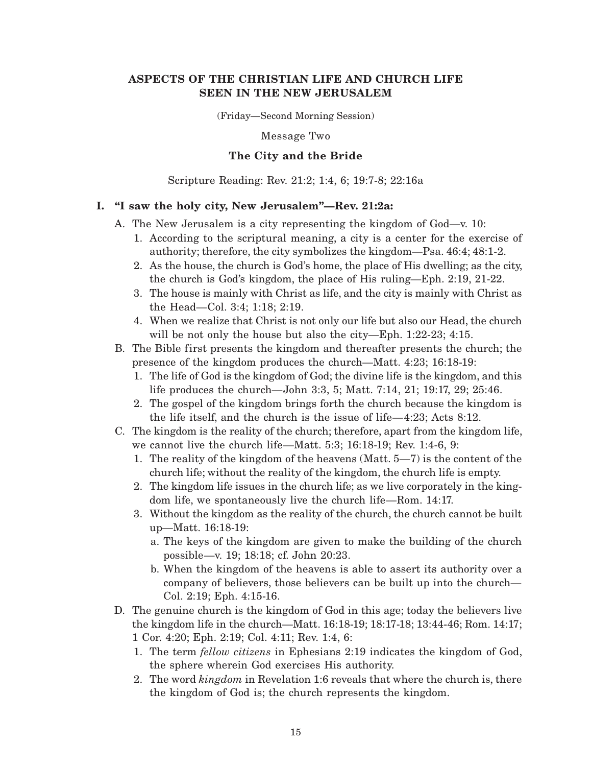# **ASPECTS OF THE CHRISTIAN LIFE AND CHURCH LIFE SEEN IN THE NEW JERUSALEM**

(Friday—Second Morning Session)

Message Two

## **The City and the Bride**

Scripture Reading: Rev. 21:2; 1:4, 6; 19:7-8; 22:16a

# **I. "I saw the holy city, New Jerusalem"—Rev. 21:2a:**

- A. The New Jerusalem is a city representing the kingdom of God—v. 10:
	- 1. According to the scriptural meaning, a city is a center for the exercise of authority; therefore, the city symbolizes the kingdom—Psa. 46:4; 48:1-2.
	- 2. As the house, the church is God's home, the place of His dwelling; as the city, the church is God's kingdom, the place of His ruling—Eph. 2:19, 21-22.
	- 3. The house is mainly with Christ as life, and the city is mainly with Christ as the Head—Col. 3:4; 1:18; 2:19.
	- 4. When we realize that Christ is not only our life but also our Head, the church will be not only the house but also the city—Eph. 1:22-23; 4:15.
- B. The Bible first presents the kingdom and thereafter presents the church; the presence of the kingdom produces the church—Matt. 4:23; 16:18-19:
	- 1. The life of God is the kingdom of God; the divine life is the kingdom, and this life produces the church—John 3:3, 5; Matt. 7:14, 21; 19:17, 29; 25:46.
	- 2. The gospel of the kingdom brings forth the church because the kingdom is the life itself, and the church is the issue of life—4:23; Acts 8:12.
- C. The kingdom is the reality of the church; therefore, apart from the kingdom life, we cannot live the church life—Matt. 5:3; 16:18-19; Rev. 1:4-6, 9:
	- 1. The reality of the kingdom of the heavens (Matt. 5—7) is the content of the church life; without the reality of the kingdom, the church life is empty.
	- 2. The kingdom life issues in the church life; as we live corporately in the kingdom life, we spontaneously live the church life—Rom. 14:17.
	- 3. Without the kingdom as the reality of the church, the church cannot be built up—Matt. 16:18-19:
		- a. The keys of the kingdom are given to make the building of the church possible—v. 19; 18:18; cf. John 20:23.
		- b. When the kingdom of the heavens is able to assert its authority over a company of believers, those believers can be built up into the church— Col. 2:19; Eph. 4:15-16.
- D. The genuine church is the kingdom of God in this age; today the believers live the kingdom life in the church—Matt. 16:18-19; 18:17-18; 13:44-46; Rom. 14:17; 1 Cor. 4:20; Eph. 2:19; Col. 4:11; Rev. 1:4, 6:
	- 1. The term *fellow citizens* in Ephesians 2:19 indicates the kingdom of God, the sphere wherein God exercises His authority.
	- 2. The word *kingdom* in Revelation 1:6 reveals that where the church is, there the kingdom of God is; the church represents the kingdom.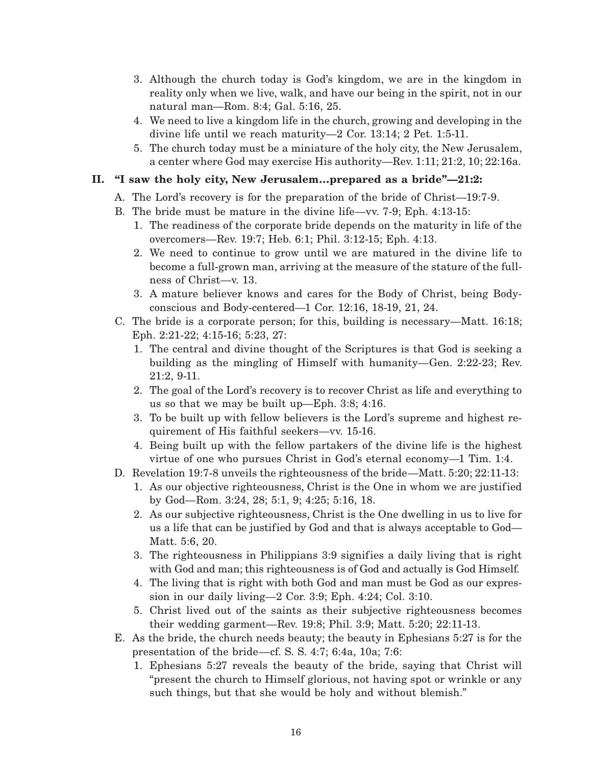- 3. Although the church today is God's kingdom, we are in the kingdom in reality only when we live, walk, and have our being in the spirit, not in our natural man—Rom. 8:4; Gal. 5:16, 25.
- 4. We need to live a kingdom life in the church, growing and developing in the divine life until we reach maturity—2 Cor. 13:14; 2 Pet. 1:5-11.
- 5. The church today must be a miniature of the holy city, the New Jerusalem, a center where God may exercise His authority—Rev. 1:11; 21:2, 10; 22:16a.

# **II. "I saw the holy city, New Jerusalem…prepared as a bride"—21:2:**

- A. The Lord's recovery is for the preparation of the bride of Christ—19:7-9.
- B. The bride must be mature in the divine life—vv. 7-9; Eph. 4:13-15:
	- 1. The readiness of the corporate bride depends on the maturity in life of the overcomers—Rev. 19:7; Heb. 6:1; Phil. 3:12-15; Eph. 4:13.
	- 2. We need to continue to grow until we are matured in the divine life to become a full-grown man, arriving at the measure of the stature of the fullness of Christ—v. 13.
	- 3. A mature believer knows and cares for the Body of Christ, being Bodyconscious and Body-centered—1 Cor. 12:16, 18-19, 21, 24.
- C. The bride is a corporate person; for this, building is necessary—Matt. 16:18; Eph. 2:21-22; 4:15-16; 5:23, 27:
	- 1. The central and divine thought of the Scriptures is that God is seeking a building as the mingling of Himself with humanity—Gen. 2:22-23; Rev. 21:2, 9-11.
	- 2. The goal of the Lord's recovery is to recover Christ as life and everything to us so that we may be built up—Eph. 3:8; 4:16.
	- 3. To be built up with fellow believers is the Lord's supreme and highest requirement of His faithful seekers—vv. 15-16.
	- 4. Being built up with the fellow partakers of the divine life is the highest virtue of one who pursues Christ in God's eternal economy—1 Tim. 1:4.
- D. Revelation 19:7-8 unveils the righteousness of the bride—Matt. 5:20; 22:11-13:
	- 1. As our objective righteousness, Christ is the One in whom we are justified by God—Rom. 3:24, 28; 5:1, 9; 4:25; 5:16, 18.
	- 2. As our subjective righteousness, Christ is the One dwelling in us to live for us a life that can be justified by God and that is always acceptable to God— Matt. 5:6, 20.
	- 3. The righteousness in Philippians 3:9 signifies a daily living that is right with God and man; this righteousness is of God and actually is God Himself.
	- 4. The living that is right with both God and man must be God as our expression in our daily living—2 Cor. 3:9; Eph. 4:24; Col. 3:10.
	- 5. Christ lived out of the saints as their subjective righteousness becomes their wedding garment—Rev. 19:8; Phil. 3:9; Matt. 5:20; 22:11-13.
- E. As the bride, the church needs beauty; the beauty in Ephesians 5:27 is for the presentation of the bride—cf. S. S. 4:7; 6:4a, 10a; 7:6:
	- 1. Ephesians 5:27 reveals the beauty of the bride, saying that Christ will "present the church to Himself glorious, not having spot or wrinkle or any such things, but that she would be holy and without blemish."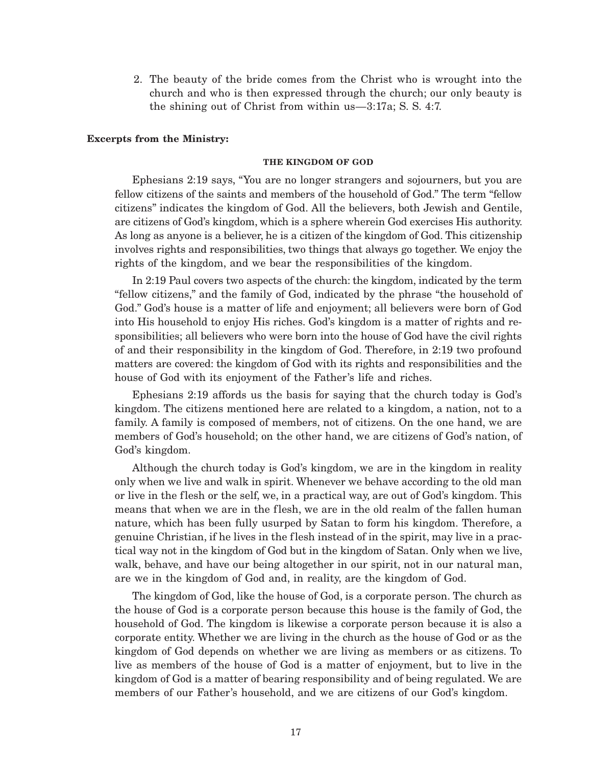2. The beauty of the bride comes from the Christ who is wrought into the church and who is then expressed through the church; our only beauty is the shining out of Christ from within us—3:17a; S. S. 4:7.

### **Excerpts from the Ministry:**

### **THE KINGDOM OF GOD**

Ephesians 2:19 says, "You are no longer strangers and sojourners, but you are fellow citizens of the saints and members of the household of God." The term "fellow citizens" indicates the kingdom of God. All the believers, both Jewish and Gentile, are citizens of God's kingdom, which is a sphere wherein God exercises His authority. As long as anyone is a believer, he is a citizen of the kingdom of God. This citizenship involves rights and responsibilities, two things that always go together. We enjoy the rights of the kingdom, and we bear the responsibilities of the kingdom.

In 2:19 Paul covers two aspects of the church: the kingdom, indicated by the term "fellow citizens," and the family of God, indicated by the phrase "the household of God." God's house is a matter of life and enjoyment; all believers were born of God into His household to enjoy His riches. God's kingdom is a matter of rights and responsibilities; all believers who were born into the house of God have the civil rights of and their responsibility in the kingdom of God. Therefore, in 2:19 two profound matters are covered: the kingdom of God with its rights and responsibilities and the house of God with its enjoyment of the Father's life and riches.

Ephesians 2:19 affords us the basis for saying that the church today is God's kingdom. The citizens mentioned here are related to a kingdom, a nation, not to a family. A family is composed of members, not of citizens. On the one hand, we are members of God's household; on the other hand, we are citizens of God's nation, of God's kingdom.

Although the church today is God's kingdom, we are in the kingdom in reality only when we live and walk in spirit. Whenever we behave according to the old man or live in the flesh or the self, we, in a practical way, are out of God's kingdom. This means that when we are in the flesh, we are in the old realm of the fallen human nature, which has been fully usurped by Satan to form his kingdom. Therefore, a genuine Christian, if he lives in the flesh instead of in the spirit, may live in a practical way not in the kingdom of God but in the kingdom of Satan. Only when we live, walk, behave, and have our being altogether in our spirit, not in our natural man, are we in the kingdom of God and, in reality, are the kingdom of God.

The kingdom of God, like the house of God, is a corporate person. The church as the house of God is a corporate person because this house is the family of God, the household of God. The kingdom is likewise a corporate person because it is also a corporate entity. Whether we are living in the church as the house of God or as the kingdom of God depends on whether we are living as members or as citizens. To live as members of the house of God is a matter of enjoyment, but to live in the kingdom of God is a matter of bearing responsibility and of being regulated. We are members of our Father's household, and we are citizens of our God's kingdom.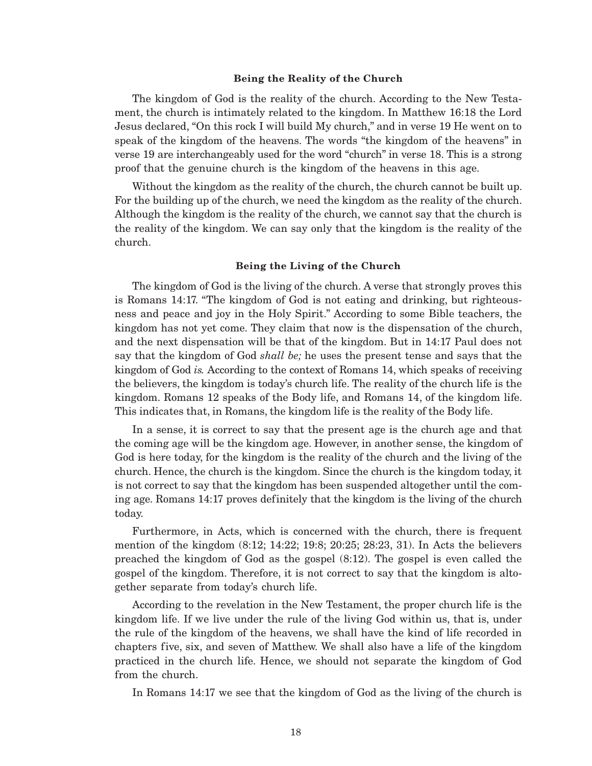#### **Being the Reality of the Church**

The kingdom of God is the reality of the church. According to the New Testament, the church is intimately related to the kingdom. In Matthew 16:18 the Lord Jesus declared, "On this rock I will build My church," and in verse 19 He went on to speak of the kingdom of the heavens. The words "the kingdom of the heavens" in verse 19 are interchangeably used for the word "church" in verse 18. This is a strong proof that the genuine church is the kingdom of the heavens in this age.

Without the kingdom as the reality of the church, the church cannot be built up. For the building up of the church, we need the kingdom as the reality of the church. Although the kingdom is the reality of the church, we cannot say that the church is the reality of the kingdom. We can say only that the kingdom is the reality of the church.

## **Being the Living of the Church**

The kingdom of God is the living of the church. A verse that strongly proves this is Romans 14:17. "The kingdom of God is not eating and drinking, but righteousness and peace and joy in the Holy Spirit." According to some Bible teachers, the kingdom has not yet come. They claim that now is the dispensation of the church, and the next dispensation will be that of the kingdom. But in 14:17 Paul does not say that the kingdom of God *shall be;* he uses the present tense and says that the kingdom of God *is.* According to the context of Romans 14, which speaks of receiving the believers, the kingdom is today's church life. The reality of the church life is the kingdom. Romans 12 speaks of the Body life, and Romans 14, of the kingdom life. This indicates that, in Romans, the kingdom life is the reality of the Body life.

In a sense, it is correct to say that the present age is the church age and that the coming age will be the kingdom age. However, in another sense, the kingdom of God is here today, for the kingdom is the reality of the church and the living of the church. Hence, the church is the kingdom. Since the church is the kingdom today, it is not correct to say that the kingdom has been suspended altogether until the coming age. Romans 14:17 proves definitely that the kingdom is the living of the church today.

Furthermore, in Acts, which is concerned with the church, there is frequent mention of the kingdom (8:12; 14:22; 19:8; 20:25; 28:23, 31). In Acts the believers preached the kingdom of God as the gospel (8:12). The gospel is even called the gospel of the kingdom. Therefore, it is not correct to say that the kingdom is altogether separate from today's church life.

According to the revelation in the New Testament, the proper church life is the kingdom life. If we live under the rule of the living God within us, that is, under the rule of the kingdom of the heavens, we shall have the kind of life recorded in chapters five, six, and seven of Matthew. We shall also have a life of the kingdom practiced in the church life. Hence, we should not separate the kingdom of God from the church.

In Romans 14:17 we see that the kingdom of God as the living of the church is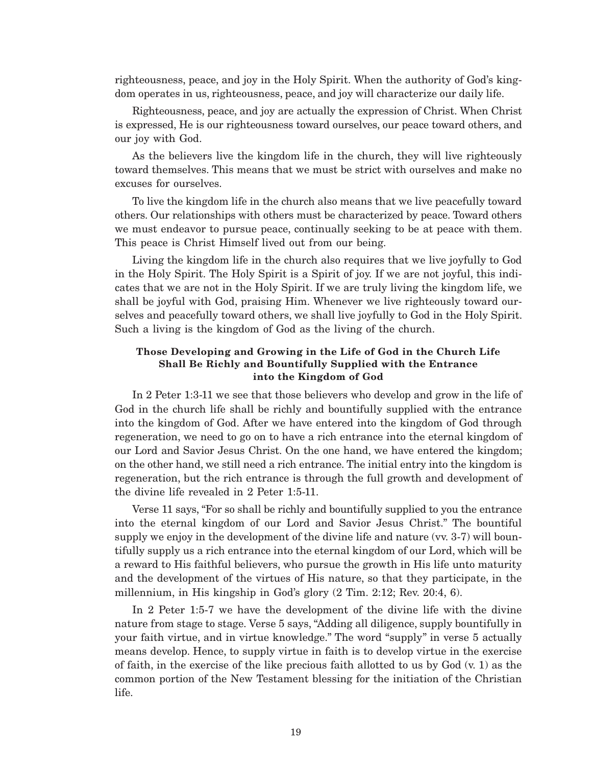righteousness, peace, and joy in the Holy Spirit. When the authority of God's kingdom operates in us, righteousness, peace, and joy will characterize our daily life.

Righteousness, peace, and joy are actually the expression of Christ. When Christ is expressed, He is our righteousness toward ourselves, our peace toward others, and our joy with God.

As the believers live the kingdom life in the church, they will live righteously toward themselves. This means that we must be strict with ourselves and make no excuses for ourselves.

To live the kingdom life in the church also means that we live peacefully toward others. Our relationships with others must be characterized by peace. Toward others we must endeavor to pursue peace, continually seeking to be at peace with them. This peace is Christ Himself lived out from our being.

Living the kingdom life in the church also requires that we live joyfully to God in the Holy Spirit. The Holy Spirit is a Spirit of joy. If we are not joyful, this indicates that we are not in the Holy Spirit. If we are truly living the kingdom life, we shall be joyful with God, praising Him. Whenever we live righteously toward ourselves and peacefully toward others, we shall live joyfully to God in the Holy Spirit. Such a living is the kingdom of God as the living of the church.

## **Those Developing and Growing in the Life of God in the Church Life Shall Be Richly and Bountifully Supplied with the Entrance into the Kingdom of God**

In 2 Peter 1:3-11 we see that those believers who develop and grow in the life of God in the church life shall be richly and bountifully supplied with the entrance into the kingdom of God. After we have entered into the kingdom of God through regeneration, we need to go on to have a rich entrance into the eternal kingdom of our Lord and Savior Jesus Christ. On the one hand, we have entered the kingdom; on the other hand, we still need a rich entrance. The initial entry into the kingdom is regeneration, but the rich entrance is through the full growth and development of the divine life revealed in 2 Peter 1:5-11.

Verse 11 says, "For so shall be richly and bountifully supplied to you the entrance into the eternal kingdom of our Lord and Savior Jesus Christ." The bountiful supply we enjoy in the development of the divine life and nature (vv. 3-7) will bountifully supply us a rich entrance into the eternal kingdom of our Lord, which will be a reward to His faithful believers, who pursue the growth in His life unto maturity and the development of the virtues of His nature, so that they participate, in the millennium, in His kingship in God's glory (2 Tim. 2:12; Rev. 20:4, 6).

In 2 Peter 1:5-7 we have the development of the divine life with the divine nature from stage to stage. Verse 5 says, "Adding all diligence, supply bountifully in your faith virtue, and in virtue knowledge." The word "supply" in verse 5 actually means develop. Hence, to supply virtue in faith is to develop virtue in the exercise of faith, in the exercise of the like precious faith allotted to us by  $God (v. 1)$  as the common portion of the New Testament blessing for the initiation of the Christian life.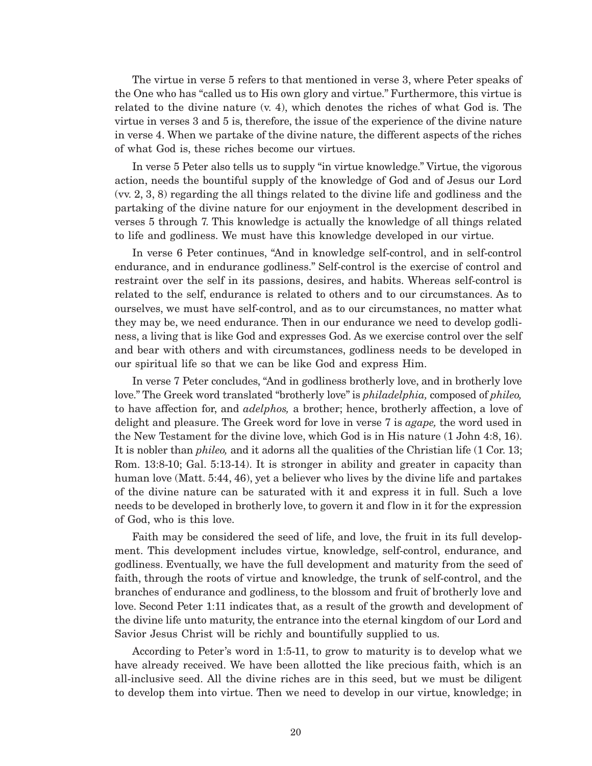The virtue in verse 5 refers to that mentioned in verse 3, where Peter speaks of the One who has "called us to His own glory and virtue." Furthermore, this virtue is related to the divine nature (v. 4), which denotes the riches of what God is. The virtue in verses 3 and 5 is, therefore, the issue of the experience of the divine nature in verse 4. When we partake of the divine nature, the different aspects of the riches of what God is, these riches become our virtues.

In verse 5 Peter also tells us to supply "in virtue knowledge." Virtue, the vigorous action, needs the bountiful supply of the knowledge of God and of Jesus our Lord (vv. 2, 3, 8) regarding the all things related to the divine life and godliness and the partaking of the divine nature for our enjoyment in the development described in verses 5 through 7. This knowledge is actually the knowledge of all things related to life and godliness. We must have this knowledge developed in our virtue.

In verse 6 Peter continues, "And in knowledge self-control, and in self-control endurance, and in endurance godliness." Self-control is the exercise of control and restraint over the self in its passions, desires, and habits. Whereas self-control is related to the self, endurance is related to others and to our circumstances. As to ourselves, we must have self-control, and as to our circumstances, no matter what they may be, we need endurance. Then in our endurance we need to develop godliness, a living that is like God and expresses God. As we exercise control over the self and bear with others and with circumstances, godliness needs to be developed in our spiritual life so that we can be like God and express Him.

In verse 7 Peter concludes, "And in godliness brotherly love, and in brotherly love love." The Greek word translated "brotherly love" is *philadelphia,* composed of *phileo,* to have affection for, and *adelphos,* a brother; hence, brotherly affection, a love of delight and pleasure. The Greek word for love in verse 7 is *agape,* the word used in the New Testament for the divine love, which God is in His nature (1 John 4:8, 16). It is nobler than *phileo,* and it adorns all the qualities of the Christian life (1 Cor. 13; Rom. 13:8-10; Gal. 5:13-14). It is stronger in ability and greater in capacity than human love (Matt. 5:44, 46), yet a believer who lives by the divine life and partakes of the divine nature can be saturated with it and express it in full. Such a love needs to be developed in brotherly love, to govern it and flow in it for the expression of God, who is this love.

Faith may be considered the seed of life, and love, the fruit in its full development. This development includes virtue, knowledge, self-control, endurance, and godliness. Eventually, we have the full development and maturity from the seed of faith, through the roots of virtue and knowledge, the trunk of self-control, and the branches of endurance and godliness, to the blossom and fruit of brotherly love and love. Second Peter 1:11 indicates that, as a result of the growth and development of the divine life unto maturity, the entrance into the eternal kingdom of our Lord and Savior Jesus Christ will be richly and bountifully supplied to us.

According to Peter's word in 1:5-11, to grow to maturity is to develop what we have already received. We have been allotted the like precious faith, which is an all-inclusive seed. All the divine riches are in this seed, but we must be diligent to develop them into virtue. Then we need to develop in our virtue, knowledge; in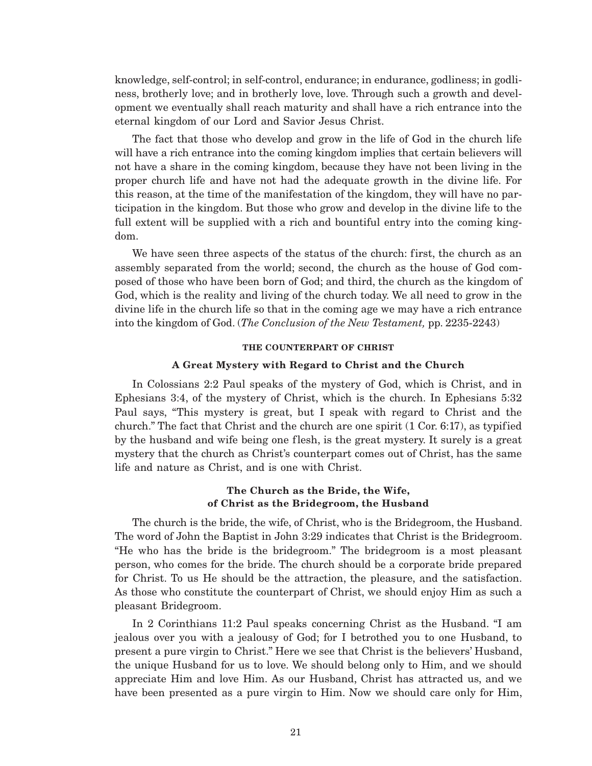knowledge, self-control; in self-control, endurance; in endurance, godliness; in godliness, brotherly love; and in brotherly love, love. Through such a growth and development we eventually shall reach maturity and shall have a rich entrance into the eternal kingdom of our Lord and Savior Jesus Christ.

The fact that those who develop and grow in the life of God in the church life will have a rich entrance into the coming kingdom implies that certain believers will not have a share in the coming kingdom, because they have not been living in the proper church life and have not had the adequate growth in the divine life. For this reason, at the time of the manifestation of the kingdom, they will have no participation in the kingdom. But those who grow and develop in the divine life to the full extent will be supplied with a rich and bountiful entry into the coming kingdom.

We have seen three aspects of the status of the church: first, the church as an assembly separated from the world; second, the church as the house of God composed of those who have been born of God; and third, the church as the kingdom of God, which is the reality and living of the church today. We all need to grow in the divine life in the church life so that in the coming age we may have a rich entrance into the kingdom of God. (*The Conclusion of the New Testament,* pp. 2235-2243)

#### **THE COUNTERPART OF CHRIST**

#### **A Great Mystery with Regard to Christ and the Church**

In Colossians 2:2 Paul speaks of the mystery of God, which is Christ, and in Ephesians 3:4, of the mystery of Christ, which is the church. In Ephesians 5:32 Paul says, "This mystery is great, but I speak with regard to Christ and the church." The fact that Christ and the church are one spirit (1 Cor. 6:17), as typified by the husband and wife being one flesh, is the great mystery. It surely is a great mystery that the church as Christ's counterpart comes out of Christ, has the same life and nature as Christ, and is one with Christ.

## **The Church as the Bride, the Wife, of Christ as the Bridegroom, the Husband**

The church is the bride, the wife, of Christ, who is the Bridegroom, the Husband. The word of John the Baptist in John 3:29 indicates that Christ is the Bridegroom. "He who has the bride is the bridegroom." The bridegroom is a most pleasant person, who comes for the bride. The church should be a corporate bride prepared for Christ. To us He should be the attraction, the pleasure, and the satisfaction. As those who constitute the counterpart of Christ, we should enjoy Him as such a pleasant Bridegroom.

In 2 Corinthians 11:2 Paul speaks concerning Christ as the Husband. "I am jealous over you with a jealousy of God; for I betrothed you to one Husband, to present a pure virgin to Christ." Here we see that Christ is the believers' Husband, the unique Husband for us to love. We should belong only to Him, and we should appreciate Him and love Him. As our Husband, Christ has attracted us, and we have been presented as a pure virgin to Him. Now we should care only for Him,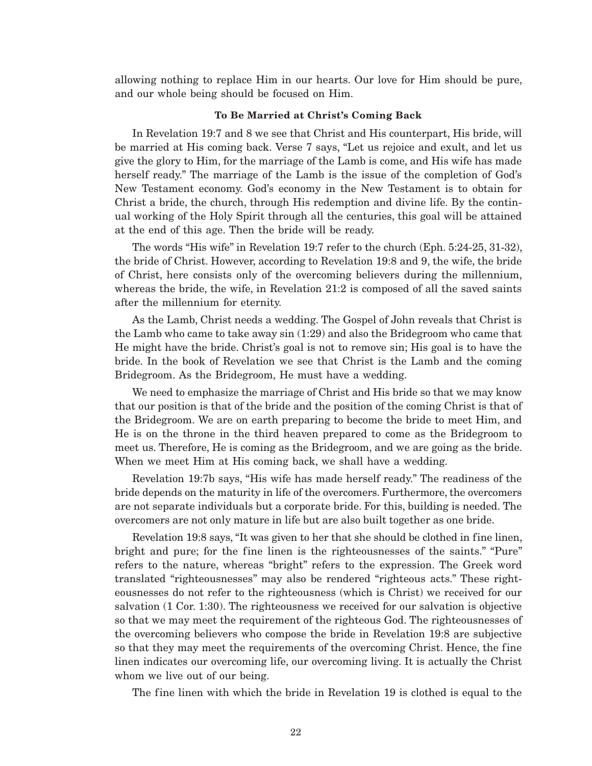allowing nothing to replace Him in our hearts. Our love for Him should be pure, and our whole being should be focused on Him.

### **To Be Married at Christ's Coming Back**

In Revelation 19:7 and 8 we see that Christ and His counterpart, His bride, will be married at His coming back. Verse 7 says, "Let us rejoice and exult, and let us give the glory to Him, for the marriage of the Lamb is come, and His wife has made herself ready." The marriage of the Lamb is the issue of the completion of God's New Testament economy. God's economy in the New Testament is to obtain for Christ a bride, the church, through His redemption and divine life. By the continual working of the Holy Spirit through all the centuries, this goal will be attained at the end of this age. Then the bride will be ready.

The words "His wife" in Revelation 19:7 refer to the church (Eph. 5:24-25, 31-32), the bride of Christ. However, according to Revelation 19:8 and 9, the wife, the bride of Christ, here consists only of the overcoming believers during the millennium, whereas the bride, the wife, in Revelation 21:2 is composed of all the saved saints after the millennium for eternity.

As the Lamb, Christ needs a wedding. The Gospel of John reveals that Christ is the Lamb who came to take away sin (1:29) and also the Bridegroom who came that He might have the bride. Christ's goal is not to remove sin; His goal is to have the bride. In the book of Revelation we see that Christ is the Lamb and the coming Bridegroom. As the Bridegroom, He must have a wedding.

We need to emphasize the marriage of Christ and His bride so that we may know that our position is that of the bride and the position of the coming Christ is that of the Bridegroom. We are on earth preparing to become the bride to meet Him, and He is on the throne in the third heaven prepared to come as the Bridegroom to meet us. Therefore, He is coming as the Bridegroom, and we are going as the bride. When we meet Him at His coming back, we shall have a wedding.

Revelation 19:7b says, "His wife has made herself ready." The readiness of the bride depends on the maturity in life of the overcomers. Furthermore, the overcomers are not separate individuals but a corporate bride. For this, building is needed. The overcomers are not only mature in life but are also built together as one bride.

Revelation 19:8 says, "It was given to her that she should be clothed in fine linen, bright and pure; for the fine linen is the righteousnesses of the saints." "Pure" refers to the nature, whereas "bright" refers to the expression. The Greek word translated "righteousnesses" may also be rendered "righteous acts." These righteousnesses do not refer to the righteousness (which is Christ) we received for our salvation (1 Cor. 1:30). The righteousness we received for our salvation is objective so that we may meet the requirement of the righteous God. The righteousnesses of the overcoming believers who compose the bride in Revelation 19:8 are subjective so that they may meet the requirements of the overcoming Christ. Hence, the fine linen indicates our overcoming life, our overcoming living. It is actually the Christ whom we live out of our being.

The fine linen with which the bride in Revelation 19 is clothed is equal to the